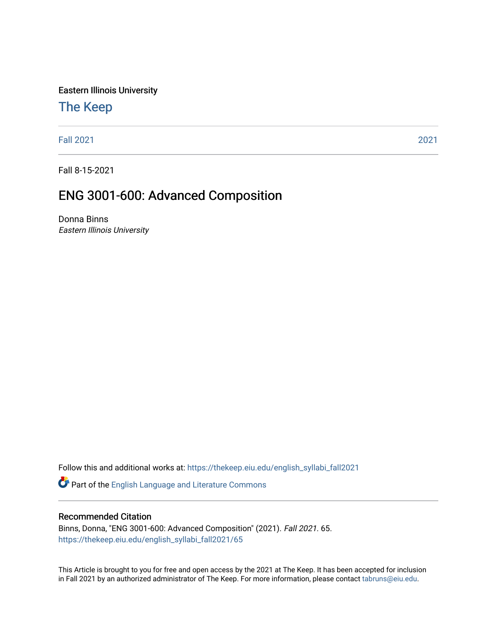Eastern Illinois University

# [The Keep](https://thekeep.eiu.edu/)

[Fall 2021](https://thekeep.eiu.edu/english_syllabi_fall2021) [2021](https://thekeep.eiu.edu/english_syllabi2021) 

Fall 8-15-2021

# ENG 3001-600: Advanced Composition

Donna Binns Eastern Illinois University

Follow this and additional works at: [https://thekeep.eiu.edu/english\\_syllabi\\_fall2021](https://thekeep.eiu.edu/english_syllabi_fall2021?utm_source=thekeep.eiu.edu%2Fenglish_syllabi_fall2021%2F65&utm_medium=PDF&utm_campaign=PDFCoverPages) 

Part of the [English Language and Literature Commons](http://network.bepress.com/hgg/discipline/455?utm_source=thekeep.eiu.edu%2Fenglish_syllabi_fall2021%2F65&utm_medium=PDF&utm_campaign=PDFCoverPages)

#### Recommended Citation

Binns, Donna, "ENG 3001-600: Advanced Composition" (2021). Fall 2021. 65. [https://thekeep.eiu.edu/english\\_syllabi\\_fall2021/65](https://thekeep.eiu.edu/english_syllabi_fall2021/65?utm_source=thekeep.eiu.edu%2Fenglish_syllabi_fall2021%2F65&utm_medium=PDF&utm_campaign=PDFCoverPages)

This Article is brought to you for free and open access by the 2021 at The Keep. It has been accepted for inclusion in Fall 2021 by an authorized administrator of The Keep. For more information, please contact [tabruns@eiu.edu](mailto:tabruns@eiu.edu).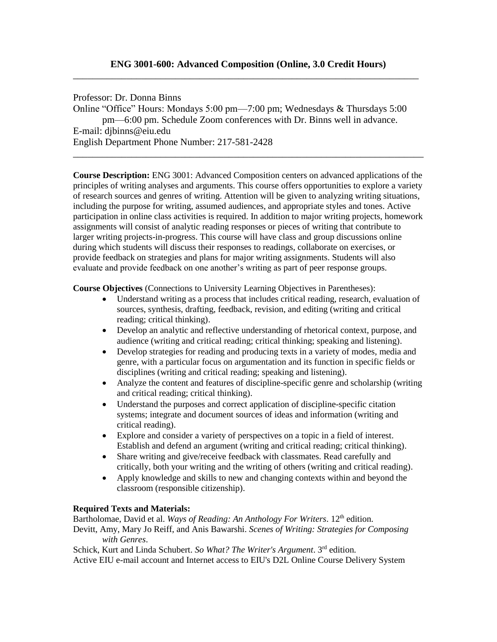Professor: Dr. Donna Binns Online "Office" Hours: Mondays 5:00 pm—7:00 pm; Wednesdays & Thursdays 5:00 pm—6:00 pm. Schedule Zoom conferences with Dr. Binns well in advance. E-mail: djbinns@eiu.ed[u](mailto:djbinns@eagle.cc.ukans.edu) English Department Phone Number: 217-581-2428

**Course Description:** ENG 3001: Advanced Composition centers on advanced applications of the principles of writing analyses and arguments. This course offers opportunities to explore a variety of research sources and genres of writing. Attention will be given to analyzing writing situations, including the purpose for writing, assumed audiences, and appropriate styles and tones. Active participation in online class activities is required. In addition to major writing projects, homework assignments will consist of analytic reading responses or pieces of writing that contribute to larger writing projects-in-progress. This course will have class and group discussions online during which students will discuss their responses to readings, collaborate on exercises, or provide feedback on strategies and plans for major writing assignments. Students will also evaluate and provide feedback on one another's writing as part of peer response groups.

\_\_\_\_\_\_\_\_\_\_\_\_\_\_\_\_\_\_\_\_\_\_\_\_\_\_\_\_\_\_\_\_\_\_\_\_\_\_\_\_\_\_\_\_\_\_\_\_\_\_\_\_\_\_\_\_\_\_\_\_\_\_\_\_\_\_\_\_\_\_\_\_

**Course Objectives** (Connections to University Learning Objectives in Parentheses):

- Understand writing as a process that includes critical reading, research, evaluation of sources, synthesis, drafting, feedback, revision, and editing (writing and critical reading; critical thinking).
- Develop an analytic and reflective understanding of rhetorical context, purpose, and audience (writing and critical reading; critical thinking; speaking and listening).
- Develop strategies for reading and producing texts in a variety of modes, media and genre, with a particular focus on argumentation and its function in specific fields or disciplines (writing and critical reading; speaking and listening).
- Analyze the content and features of discipline-specific genre and scholarship (writing and critical reading; critical thinking).
- Understand the purposes and correct application of discipline-specific citation systems; integrate and document sources of ideas and information (writing and critical reading).
- Explore and consider a variety of perspectives on a topic in a field of interest. Establish and defend an argument (writing and critical reading; critical thinking).
- Share writing and give/receive feedback with classmates. Read carefully and critically, both your writing and the writing of others (writing and critical reading).
- Apply knowledge and skills to new and changing contexts within and beyond the classroom (responsible citizenship).

#### **Required Texts and Materials:**

Bartholomae, David et al. *Ways of Reading: An Anthology For Writers*. 12<sup>th</sup> edition. Devitt, Amy, Mary Jo Reiff, and Anis Bawarshi. *Scenes of Writing: Strategies for Composing with Genres*.

Schick, Kurt and Linda Schubert. *So What? The Writer's Argument*. 3rd edition. Active EIU e-mail account and Internet access to EIU's D2L Online Course Delivery System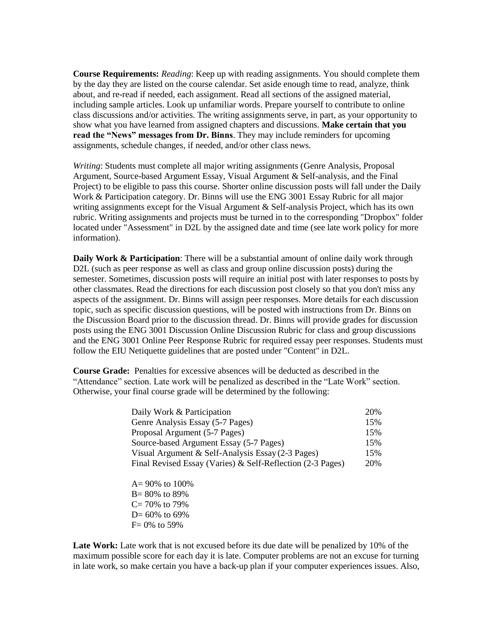**Course Requirements:** *Reading*: Keep up with reading assignments. You should complete them by the day they are listed on the course calendar. Set aside enough time to read, analyze, think about, and re-read if needed, each assignment. Read all sections of the assigned material, including sample articles. Look up unfamiliar words. Prepare yourself to contribute to online class discussions and/or activities. The writing assignments serve, in part, as your opportunity to show what you have learned from assigned chapters and discussions. **Make certain that you read the "News" messages from Dr. Binns**. They may include reminders for upcoming assignments, schedule changes, if needed, and/or other class news.

*Writing*: Students must complete all major writing assignments (Genre Analysis, Proposal Argument, Source-based Argument Essay, Visual Argument & Self-analysis, and the Final Project) to be eligible to pass this course. Shorter online discussion posts will fall under the Daily Work & Participation category. Dr. Binns will use the ENG 3001 Essay Rubric for all major writing assignments except for the Visual Argument & Self-analysis Project, which has its own rubric. Writing assignments and projects must be turned in to the corresponding "Dropbox" folder located under "Assessment" in D2L by the assigned date and time (see late work policy for more information).

**Daily Work & Participation**: There will be a substantial amount of online daily work through D2L (such as peer response as well as class and group online discussion posts) during the semester. Sometimes, discussion posts will require an initial post with later responses to posts by other classmates. Read the directions for each discussion post closely so that you don't miss any aspects of the assignment. Dr. Binns will assign peer responses. More details for each discussion topic, such as specific discussion questions, will be posted with instructions from Dr. Binns on the Discussion Board prior to the discussion thread. Dr. Binns will provide grades for discussion posts using the ENG 3001 Discussion Online Discussion Rubric for class and group discussions and the ENG 3001 Online Peer Response Rubric for required essay peer responses. Students must follow the EIU Netiquette guidelines that are posted under "Content" in D2L.

**Course Grade:** Penalties for excessive absences will be deducted as described in the "Attendance" section. Late work will be penalized as described in the "Late Work" section. Otherwise, your final course grade will be determined by the following:

| Daily Work & Participation                                 | 20% |
|------------------------------------------------------------|-----|
| Genre Analysis Essay (5-7 Pages)                           | 15% |
| Proposal Argument (5-7 Pages)                              | 15% |
| Source-based Argument Essay (5-7 Pages)                    | 15% |
| Visual Argument & Self-Analysis Essay (2-3 Pages)          | 15% |
| Final Revised Essay (Varies) & Self-Reflection (2-3 Pages) | 20% |

 $A = 90\%$  to 100\% B= 80% to 89%  $C = 70\%$  to 79%  $D= 60\%$  to 69%  $F = 0\%$  to 59%

**Late Work:** Late work that is not excused before its due date will be penalized by 10% of the maximum possible score for each day it is late. Computer problems are not an excuse for turning in late work, so make certain you have a back-up plan if your computer experiences issues. Also,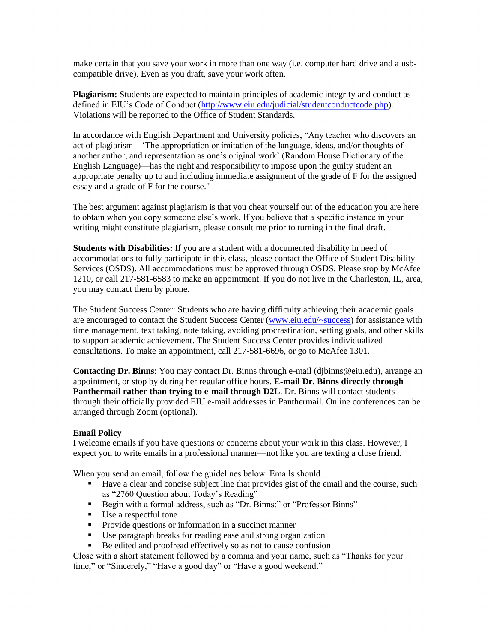make certain that you save your work in more than one way (i.e. computer hard drive and a usbcompatible drive). Even as you draft, save your work often.

**Plagiarism:** Students are expected to maintain principles of academic integrity and conduct as defined in EIU's Code of Conduct [\(http://www.eiu.edu/judicial/studentconductcode.php\)](http://www.eiu.edu/judicial/studentconductcode.php). Violations will be reported to the Office of Student Standards.

In accordance with English Department and University policies, "Any teacher who discovers an act of plagiarism—'The appropriation or imitation of the language, ideas, and/or thoughts of another author, and representation as one's original work' (Random House Dictionary of the English Language)—has the right and responsibility to impose upon the guilty student an appropriate penalty up to and including immediate assignment of the grade of F for the assigned essay and a grade of F for the course."

The best argument against plagiarism is that you cheat yourself out of the education you are here to obtain when you copy someone else's work. If you believe that a specific instance in your writing might constitute plagiarism, please consult me prior to turning in the final draft.

**Students with Disabilities:** If you are a student with a documented disability in need of accommodations to fully participate in this class, please contact the Office of Student Disability Services (OSDS). All accommodations must be approved through OSDS. Please stop by McAfee 1210, or call 217-581-6583 to make an appointment. If you do not live in the Charleston, IL, area, you may contact them by phone.

The Student Success Center: Students who are having difficulty achieving their academic goals are encouraged to contact the Student Success Center [\(www.eiu.edu/~success\)](file:///C:/Users/Donna/Documents/www.eiu.edu/~success) for assistance with time management, text taking, note taking, avoiding procrastination, setting goals, and other skills to support academic achievement. The Student Success Center provides individualized consultations. To make an appointment, call 217-581-6696, or go to McAfee 1301.

**Contacting Dr. Binns**: You may contact Dr. Binns through e-mail (djbinns@eiu.edu), arrange an appointment, or stop by during her regular office hours. **E-mail Dr. Binns directly through Panthermail rather than trying to e-mail through D2L**. Dr. Binns will contact students through their officially provided EIU e-mail addresses in Panthermail. Online conferences can be arranged through Zoom (optional).

#### **Email Policy**

I welcome emails if you have questions or concerns about your work in this class. However, I expect you to write emails in a professional manner—not like you are texting a close friend.

When you send an email, follow the guidelines below. Emails should...

- Have a clear and concise subject line that provides gist of the email and the course, such as "2760 Question about Today's Reading"
- Begin with a formal address, such as "Dr. Binns:" or "Professor Binns"
- Use a respectful tone
- **Provide questions or information in a succinct manner**
- Use paragraph breaks for reading ease and strong organization
- Be edited and proofread effectively so as not to cause confusion

Close with a short statement followed by a comma and your name, such as "Thanks for your time," or "Sincerely," "Have a good day" or "Have a good weekend."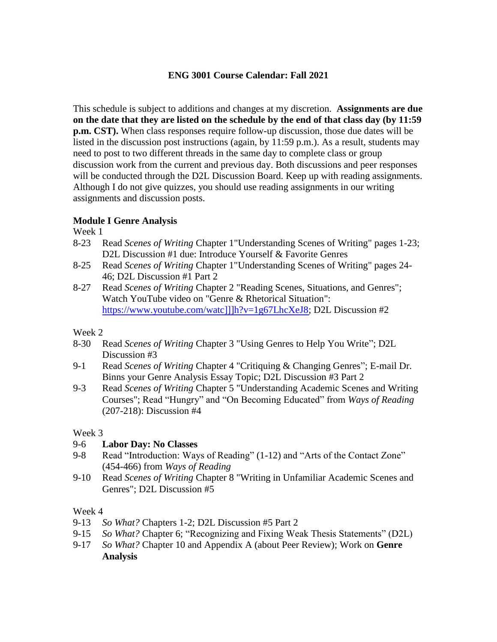# **ENG 3001 Course Calendar: Fall 2021**

This schedule is subject to additions and changes at my discretion. **Assignments are due on the date that they are listed on the schedule by the end of that class day (by 11:59 p.m. CST).** When class responses require follow-up discussion, those due dates will be listed in the discussion post instructions (again, by 11:59 p.m.). As a result, students may need to post to two different threads in the same day to complete class or group discussion work from the current and previous day. Both discussions and peer responses will be conducted through the D2L Discussion Board. Keep up with reading assignments. Although I do not give quizzes, you should use reading assignments in our writing assignments and discussion posts.

# **Module I Genre Analysis**

Week 1

- 8-23 Read *Scenes of Writing* Chapter 1"Understanding Scenes of Writing" pages 1-23; D2L Discussion #1 due: Introduce Yourself & Favorite Genres
- 8-25 Read *Scenes of Writing* Chapter 1"Understanding Scenes of Writing" pages 24- 46; D2L Discussion #1 Part 2
- 8-27 Read *Scenes of Writing* Chapter 2 "Reading Scenes, Situations, and Genres"; Watch YouTube video on "Genre & Rhetorical Situation": [https://www.youtube.com/watc\]\]\]h?v=1g67LhcXeJ8;](https://www.youtube.com/watc%5d%5d%5dh?v=1g67LhcXeJ8) D2L Discussion #2

# Week 2

- 8-30 Read *Scenes of Writing* Chapter 3 "Using Genres to Help You Write"; D2L Discussion #3
- 9-1 Read *Scenes of Writing* Chapter 4 "Critiquing & Changing Genres"; E-mail Dr. Binns your Genre Analysis Essay Topic; D2L Discussion #3 Part 2
- 9-3 Read *Scenes of Writing* Chapter 5 "Understanding Academic Scenes and Writing Courses"; Read "Hungry" and "On Becoming Educated" from *Ways of Reading* (207-218): Discussion #4

## Week 3

# 9-6 **Labor Day: No Classes**

- 9-8 Read "Introduction: Ways of Reading" (1-12) and "Arts of the Contact Zone" (454-466) from *Ways of Reading*
- 9-10 Read *Scenes of Writing* Chapter 8 "Writing in Unfamiliar Academic Scenes and Genres"; D2L Discussion #5

## Week 4

- 9-13 *So What?* Chapters 1-2; D2L Discussion #5 Part 2
- 9-15 *So What?* Chapter 6; "Recognizing and Fixing Weak Thesis Statements" (D2L)
- 9-17 *So What?* Chapter 10 and Appendix A (about Peer Review); Work on **Genre Analysis**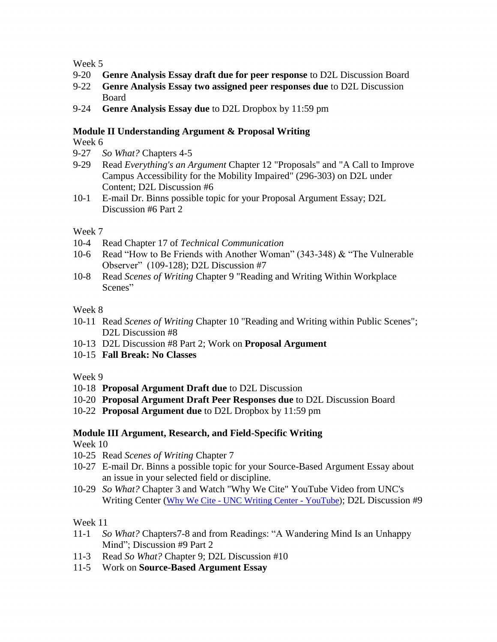Week 5

- 9-20 **Genre Analysis Essay draft due for peer response** to D2L Discussion Board
- 9-22 **Genre Analysis Essay two assigned peer responses due** to D2L Discussion Board
- 9-24 **Genre Analysis Essay due** to D2L Dropbox by 11:59 pm

## **Module II Understanding Argument & Proposal Writing**

Week 6

- 9-27 *So What?* Chapters 4-5
- 9-29 Read *Everything's an Argument* Chapter 12 "Proposals" and "A Call to Improve Campus Accessibility for the Mobility Impaired" (296-303) on D2L under Content; D2L Discussion #6
- 10-1 E-mail Dr. Binns possible topic for your Proposal Argument Essay; D2L Discussion #6 Part 2

## Week 7

- 10-4 Read Chapter 17 of *Technical Communication*
- 10-6 Read "How to Be Friends with Another Woman" (343-348) & "The Vulnerable Observer" (109-128); D2L Discussion #7
- 10-8 Read *Scenes of Writing* Chapter 9 "Reading and Writing Within Workplace Scenes"

## Week 8

- 10-11 Read *Scenes of Writing* Chapter 10 "Reading and Writing within Public Scenes"; D2L Discussion #8
- 10-13 D2L Discussion #8 Part 2; Work on **Proposal Argument**
- 10-15 **Fall Break: No Classes**

Week 9

- 10-18 **Proposal Argument Draft due** to D2L Discussion
- 10-20 **Proposal Argument Draft Peer Responses due** to D2L Discussion Board
- 10-22 **Proposal Argument due** to D2L Dropbox by 11:59 pm

# **Module III Argument, Research, and Field-Specific Writing**

Week 10

- 10-25 Read *Scenes of Writing* Chapter 7
- 10-27 E-mail Dr. Binns a possible topic for your Source-Based Argument Essay about an issue in your selected field or discipline.
- 10-29 *So What?* Chapter 3 and Watch "Why We Cite" YouTube Video from UNC's Writing Center ([Why We Cite - UNC Writing Center - YouTube\)](https://www.youtube.com/watch?v=96Sq6Ptnq3U&t=28s); D2L Discussion #9

Week 11

- 11-1 *So What?* Chapters7-8 and from Readings: "A Wandering Mind Is an Unhappy Mind"; Discussion #9 Part 2
- 11-3 Read *So What?* Chapter 9; D2L Discussion #10
- 11-5 Work on **Source-Based Argument Essay**